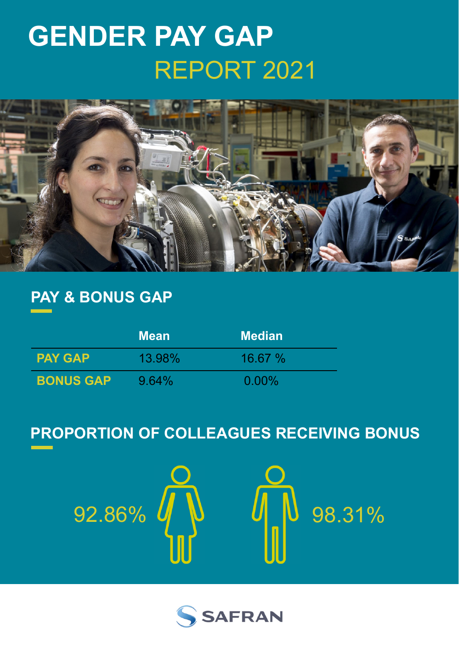# **GENDER PAY GAP** REPORT 2021



## **PAY & BONUS GAP**

|                  | <b>Mean</b> | <b>Median</b> |
|------------------|-------------|---------------|
| <b>PAY GAP</b>   | 13.98%      | 16.67%        |
| <b>BONUS GAP</b> | $9.64\%$    | $0.00\%$      |

# **PROPORTION OF COLLEAGUES RECEIVING BONUS**